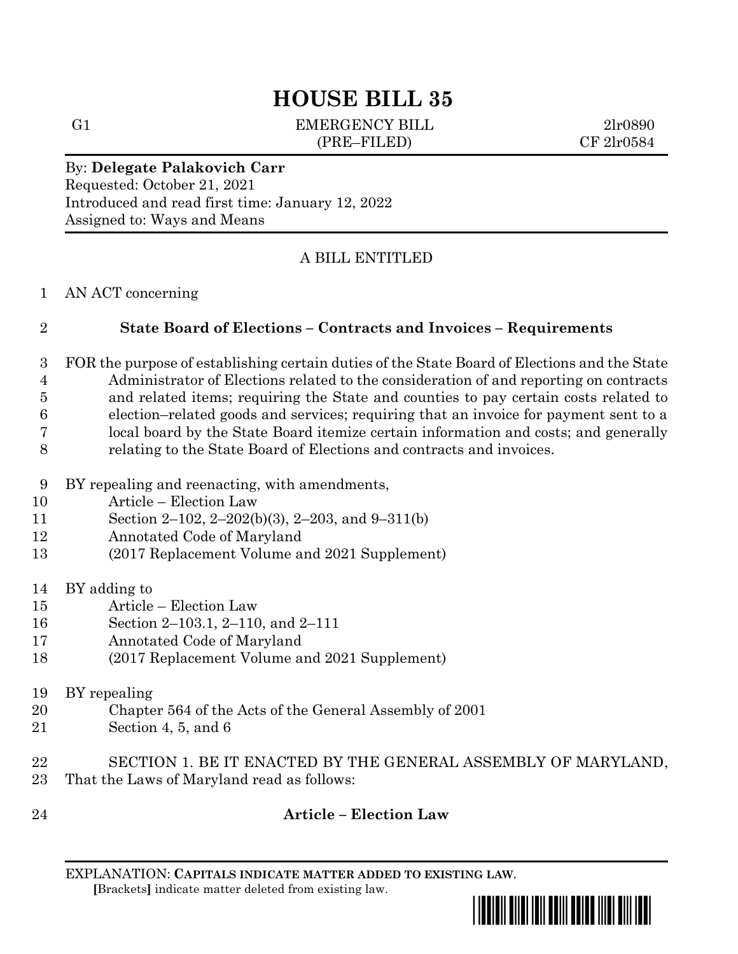# **HOUSE BILL 35**

G1 EMERGENCY BILL 2lr0890 (PRE–FILED) CF 2lr0584

#### By: **Delegate Palakovich Carr** Requested: October 21, 2021

Introduced and read first time: January 12, 2022 Assigned to: Ways and Means

# A BILL ENTITLED

#### AN ACT concerning

### **State Board of Elections – Contracts and Invoices – Requirements**

- FOR the purpose of establishing certain duties of the State Board of Elections and the State Administrator of Elections related to the consideration of and reporting on contracts and related items; requiring the State and counties to pay certain costs related to election–related goods and services; requiring that an invoice for payment sent to a local board by the State Board itemize certain information and costs; and generally relating to the State Board of Elections and contracts and invoices.
- BY repealing and reenacting, with amendments,
- Article Election Law
- Section 2–102, 2–202(b)(3), 2–203, and 9–311(b)
- Annotated Code of Maryland
- (2017 Replacement Volume and 2021 Supplement)
- BY adding to
- Article Election Law
- Section 2–103.1, 2–110, and 2–111
- Annotated Code of Maryland
- (2017 Replacement Volume and 2021 Supplement)
- BY repealing
- Chapter 564 of the Acts of the General Assembly of 2001
- Section 4, 5, and 6
- SECTION 1. BE IT ENACTED BY THE GENERAL ASSEMBLY OF MARYLAND, That the Laws of Maryland read as follows:
- 

# **Article – Election Law**

EXPLANATION: **CAPITALS INDICATE MATTER ADDED TO EXISTING LAW**.  **[**Brackets**]** indicate matter deleted from existing law.

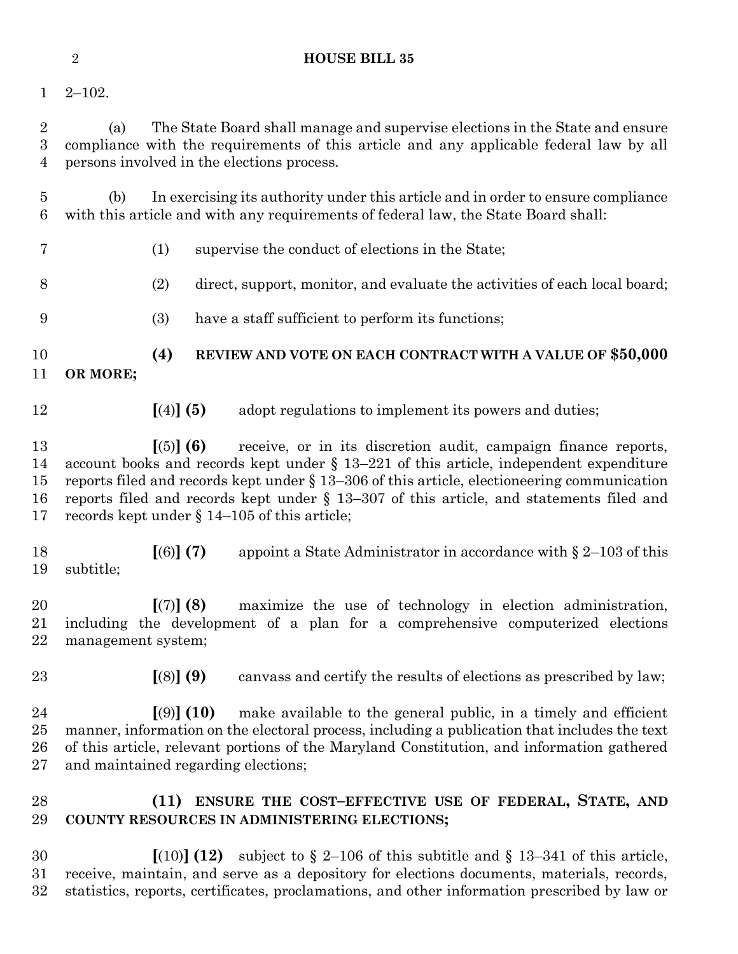| $\mathbf{1}$                          | $2 - 102.$                                                                                                                                                                                                                                                                                                                                                                                                                  |
|---------------------------------------|-----------------------------------------------------------------------------------------------------------------------------------------------------------------------------------------------------------------------------------------------------------------------------------------------------------------------------------------------------------------------------------------------------------------------------|
| $\overline{2}$<br>3<br>$\overline{4}$ | The State Board shall manage and supervise elections in the State and ensure<br>(a)<br>compliance with the requirements of this article and any applicable federal law by all<br>persons involved in the elections process.                                                                                                                                                                                                 |
| $\overline{5}$<br>6                   | In exercising its authority under this article and in order to ensure compliance<br>(b)<br>with this article and with any requirements of federal law, the State Board shall:                                                                                                                                                                                                                                               |
| 7                                     | (1)<br>supervise the conduct of elections in the State;                                                                                                                                                                                                                                                                                                                                                                     |
| 8                                     | (2)<br>direct, support, monitor, and evaluate the activities of each local board;                                                                                                                                                                                                                                                                                                                                           |
| 9                                     | have a staff sufficient to perform its functions;<br>(3)                                                                                                                                                                                                                                                                                                                                                                    |
| 10<br>11                              | (4)<br>REVIEW AND VOTE ON EACH CONTRACT WITH A VALUE OF \$50,000<br>OR MORE;                                                                                                                                                                                                                                                                                                                                                |
| 12                                    | [(4)] (5)<br>adopt regulations to implement its powers and duties;                                                                                                                                                                                                                                                                                                                                                          |
| 13<br>14<br>15<br>16<br>17            | receive, or in its discretion audit, campaign finance reports,<br>[(5)] (6)<br>account books and records kept under $\S$ 13-221 of this article, independent expenditure<br>reports filed and records kept under $\S 13-306$ of this article, electioneering communication<br>reports filed and records kept under $\S$ 13-307 of this article, and statements filed and<br>records kept under $\S$ 14–105 of this article; |
| 18<br>19                              | [(6)] (7)<br>appoint a State Administrator in accordance with $\S 2$ –103 of this<br>subtitle;                                                                                                                                                                                                                                                                                                                              |
| 20<br>21<br>22                        | [(7)] (8)<br>maximize the use of technology in election administration,<br>including the development of a plan for a comprehensive computerized elections<br>management system;                                                                                                                                                                                                                                             |
| 23                                    | [(8)] (9)<br>canvass and certify the results of elections as prescribed by law;                                                                                                                                                                                                                                                                                                                                             |
| 24<br>$25\,$<br>26<br>$27\,$          | $(9)$ (10)<br>make available to the general public, in a timely and efficient<br>manner, information on the electoral process, including a publication that includes the text<br>of this article, relevant portions of the Maryland Constitution, and information gathered<br>and maintained regarding elections;                                                                                                           |
| 28<br>29                              | (11) ENSURE THE COST-EFFECTIVE USE OF FEDERAL, STATE, AND<br>COUNTY RESOURCES IN ADMINISTERING ELECTIONS;                                                                                                                                                                                                                                                                                                                   |
| 30<br>$31\,$<br>$32\,$                | $(10)$ (12) subject to § 2–106 of this subtitle and § 13–341 of this article,<br>receive, maintain, and serve as a depository for elections documents, materials, records,<br>statistics, reports, certificates, proclamations, and other information prescribed by law or                                                                                                                                                  |

**HOUSE BILL 35**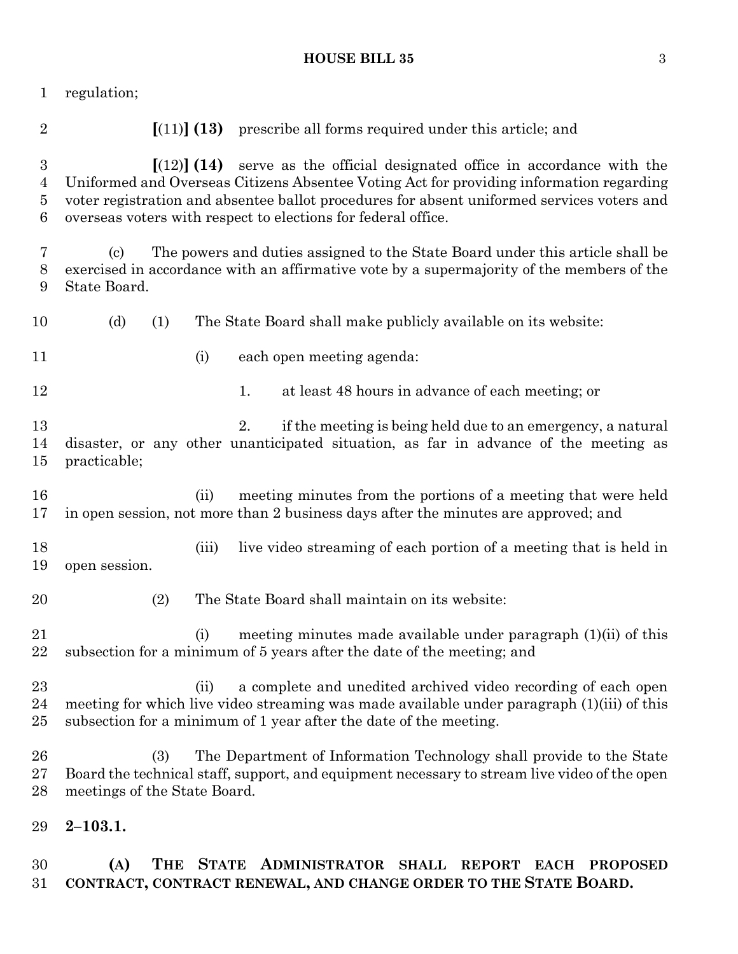| 1                               | regulation;                                                                                                                                                                                                                                                                                                                                                |
|---------------------------------|------------------------------------------------------------------------------------------------------------------------------------------------------------------------------------------------------------------------------------------------------------------------------------------------------------------------------------------------------------|
| $\overline{2}$                  | $\left[ (11) \right]$ (13) prescribe all forms required under this article; and                                                                                                                                                                                                                                                                            |
| $\boldsymbol{3}$<br>4<br>5<br>6 | $\left[\frac{12}{14}\right]$ (14) serve as the official designated office in accordance with the<br>Uniformed and Overseas Citizens Absentee Voting Act for providing information regarding<br>voter registration and absentee ballot procedures for absent uniformed services voters and<br>overseas voters with respect to elections for federal office. |
| 7<br>8<br>9                     | The powers and duties assigned to the State Board under this article shall be<br>(c)<br>exercised in accordance with an affirmative vote by a supermajority of the members of the<br>State Board.                                                                                                                                                          |
| 10                              | (d)<br>The State Board shall make publicly available on its website:<br>(1)                                                                                                                                                                                                                                                                                |
| 11                              | (i)<br>each open meeting agenda:                                                                                                                                                                                                                                                                                                                           |
| 12                              | at least 48 hours in advance of each meeting; or<br>1.                                                                                                                                                                                                                                                                                                     |
| 13<br>14<br>15                  | 2.<br>if the meeting is being held due to an emergency, a natural<br>disaster, or any other unanticipated situation, as far in advance of the meeting as<br>practicable;                                                                                                                                                                                   |
| 16<br>17                        | meeting minutes from the portions of a meeting that were held<br>(ii)<br>in open session, not more than 2 business days after the minutes are approved; and                                                                                                                                                                                                |
| 18<br>19                        | live video streaming of each portion of a meeting that is held in<br>(iii)<br>open session.                                                                                                                                                                                                                                                                |
| 20                              | (2)<br>The State Board shall maintain on its website:                                                                                                                                                                                                                                                                                                      |
| 21<br>22                        | meeting minutes made available under paragraph $(1)(ii)$ of this<br>(i)<br>subsection for a minimum of 5 years after the date of the meeting; and                                                                                                                                                                                                          |
| 23<br>24<br>25                  | a complete and unedited archived video recording of each open<br>(ii)<br>meeting for which live video streaming was made available under paragraph (1)(iii) of this<br>subsection for a minimum of 1 year after the date of the meeting.                                                                                                                   |
| 26<br>27<br>28                  | (3)<br>The Department of Information Technology shall provide to the State<br>Board the technical staff, support, and equipment necessary to stream live video of the open<br>meetings of the State Board.                                                                                                                                                 |
| 29                              | $2 - 103.1.$                                                                                                                                                                                                                                                                                                                                               |

 **(A) THE STATE ADMINISTRATOR SHALL REPORT EACH PROPOSED CONTRACT, CONTRACT RENEWAL, AND CHANGE ORDER TO THE STATE BOARD.**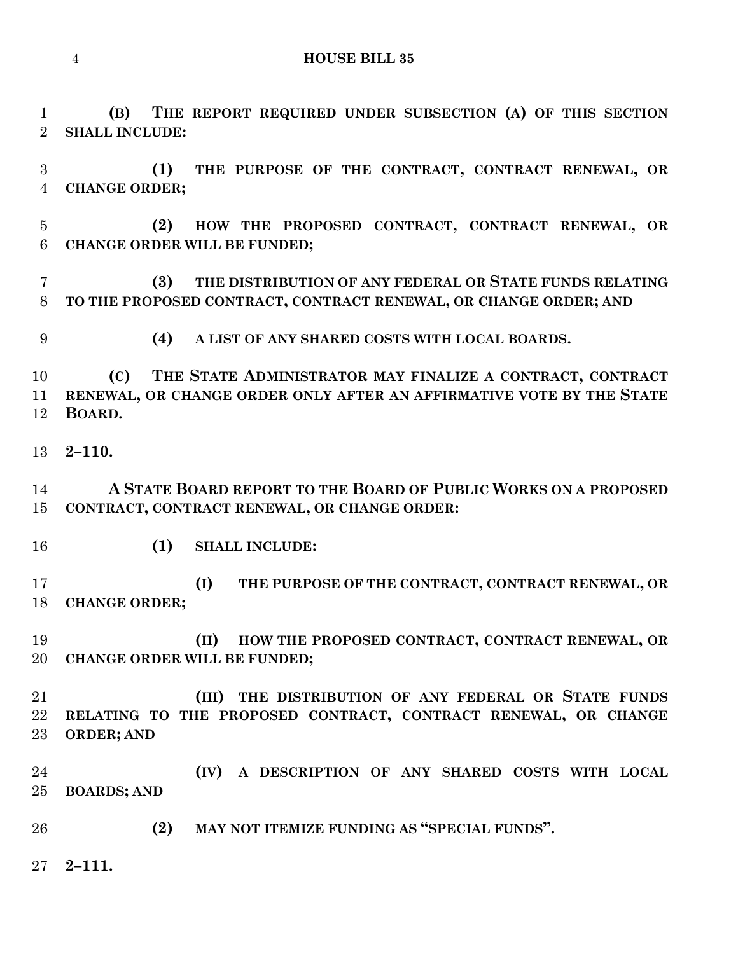**(B) THE REPORT REQUIRED UNDER SUBSECTION (A) OF THIS SECTION SHALL INCLUDE:**

 **(1) THE PURPOSE OF THE CONTRACT, CONTRACT RENEWAL, OR CHANGE ORDER;**

 **(2) HOW THE PROPOSED CONTRACT, CONTRACT RENEWAL, OR CHANGE ORDER WILL BE FUNDED;**

 **(3) THE DISTRIBUTION OF ANY FEDERAL OR STATE FUNDS RELATING TO THE PROPOSED CONTRACT, CONTRACT RENEWAL, OR CHANGE ORDER; AND** 

**(4) A LIST OF ANY SHARED COSTS WITH LOCAL BOARDS.**

 **(C) THE STATE ADMINISTRATOR MAY FINALIZE A CONTRACT, CONTRACT RENEWAL, OR CHANGE ORDER ONLY AFTER AN AFFIRMATIVE VOTE BY THE STATE BOARD.**

**2–110.**

 **A STATE BOARD REPORT TO THE BOARD OF PUBLIC WORKS ON A PROPOSED CONTRACT, CONTRACT RENEWAL, OR CHANGE ORDER:**

**(1) SHALL INCLUDE:**

 **(I) THE PURPOSE OF THE CONTRACT, CONTRACT RENEWAL, OR CHANGE ORDER;**

 **(II) HOW THE PROPOSED CONTRACT, CONTRACT RENEWAL, OR CHANGE ORDER WILL BE FUNDED;**

 **(III) THE DISTRIBUTION OF ANY FEDERAL OR STATE FUNDS RELATING TO THE PROPOSED CONTRACT, CONTRACT RENEWAL, OR CHANGE ORDER; AND** 

 **(IV) A DESCRIPTION OF ANY SHARED COSTS WITH LOCAL BOARDS; AND**

**(2) MAY NOT ITEMIZE FUNDING AS "SPECIAL FUNDS".**

**2–111.**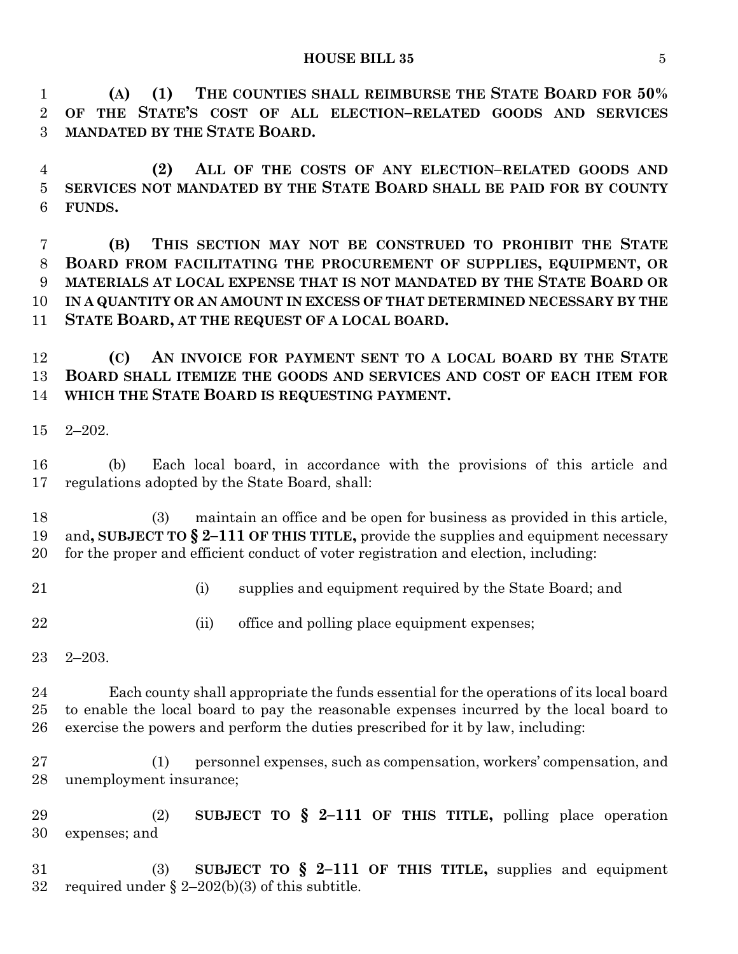**(A) (1) THE COUNTIES SHALL REIMBURSE THE STATE BOARD FOR 50% OF THE STATE'S COST OF ALL ELECTION–RELATED GOODS AND SERVICES MANDATED BY THE STATE BOARD.**

 **(2) ALL OF THE COSTS OF ANY ELECTION–RELATED GOODS AND SERVICES NOT MANDATED BY THE STATE BOARD SHALL BE PAID FOR BY COUNTY FUNDS.**

 **(B) THIS SECTION MAY NOT BE CONSTRUED TO PROHIBIT THE STATE BOARD FROM FACILITATING THE PROCUREMENT OF SUPPLIES, EQUIPMENT, OR MATERIALS AT LOCAL EXPENSE THAT IS NOT MANDATED BY THE STATE BOARD OR IN A QUANTITY OR AN AMOUNT IN EXCESS OF THAT DETERMINED NECESSARY BY THE STATE BOARD, AT THE REQUEST OF A LOCAL BOARD.**

 **(C) AN INVOICE FOR PAYMENT SENT TO A LOCAL BOARD BY THE STATE BOARD SHALL ITEMIZE THE GOODS AND SERVICES AND COST OF EACH ITEM FOR WHICH THE STATE BOARD IS REQUESTING PAYMENT.**

2–202.

 (b) Each local board, in accordance with the provisions of this article and regulations adopted by the State Board, shall:

 (3) maintain an office and be open for business as provided in this article, and**, SUBJECT TO § 2–111 OF THIS TITLE,** provide the supplies and equipment necessary for the proper and efficient conduct of voter registration and election, including:

- 
- (i) supplies and equipment required by the State Board; and
- 22 (ii) office and polling place equipment expenses;
- 2–203.

 Each county shall appropriate the funds essential for the operations of its local board to enable the local board to pay the reasonable expenses incurred by the local board to exercise the powers and perform the duties prescribed for it by law, including:

 (1) personnel expenses, such as compensation, workers' compensation, and unemployment insurance;

 (2) **SUBJECT TO § 2–111 OF THIS TITLE,** polling place operation expenses; and

 (3) **SUBJECT TO § 2–111 OF THIS TITLE,** supplies and equipment 32 required under  $\S 2-202(b)(3)$  of this subtitle.